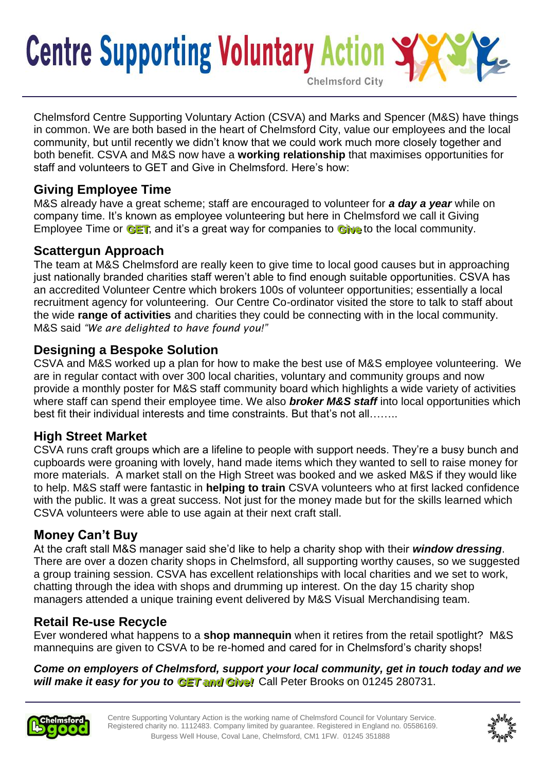# **Centre Supporting Voluntary Action Chelmsford City**

Chelmsford Centre Supporting Voluntary Action (CSVA) and Marks and Spencer (M&S) have things in common. We are both based in the heart of Chelmsford City, value our employees and the local community, but until recently we didn't know that we could work much more closely together and both benefit. CSVA and M&S now have a **working relationship** that maximises opportunities for staff and volunteers to GET and Give in Chelmsford. Here's how:

#### **Giving Employee Time**

M&S already have a great scheme; staff are encouraged to volunteer for *a day a year* while on company time. It's known as employee volunteering but here in Chelmsford we call it Giving Employee Time or  $GET$ , and it's a great way for companies to  $Giv$  to the local community.

### **Scattergun Approach**

The team at M&S Chelmsford are really keen to give time to local good causes but in approaching just nationally branded charities staff weren't able to find enough suitable opportunities. CSVA has an accredited Volunteer Centre which brokers 100s of volunteer opportunities; essentially a local recruitment agency for volunteering. Our Centre Co-ordinator visited the store to talk to staff about the wide **range of activities** and charities they could be connecting with in the local community. M&S said *"We are delighted to have found you!"*

#### **Designing a Bespoke Solution**

CSVA and M&S worked up a plan for how to make the best use of M&S employee volunteering. We are in regular contact with over 300 local charities, voluntary and community groups and now provide a monthly poster for M&S staff community board which highlights a wide variety of activities where staff can spend their employee time. We also *broker M&S staff* into local opportunities which best fit their individual interests and time constraints. But that's not all……..

## **High Street Market**

CSVA runs craft groups which are a lifeline to people with support needs. They're a busy bunch and cupboards were groaning with lovely, hand made items which they wanted to sell to raise money for more materials. A market stall on the High Street was booked and we asked M&S if they would like to help. M&S staff were fantastic in **helping to train** CSVA volunteers who at first lacked confidence with the public. It was a great success. Not just for the money made but for the skills learned which CSVA volunteers were able to use again at their next craft stall.

## **Money Can't Buy**

At the craft stall M&S manager said she'd like to help a charity shop with their *window dressing*. There are over a dozen charity shops in Chelmsford, all supporting worthy causes, so we suggested a group training session. CSVA has excellent relationships with local charities and we set to work, chatting through the idea with shops and drumming up interest. On the day 15 charity shop managers attended a unique training event delivered by M&S Visual Merchandising team.

## **Retail Re-use Recycle**

Ever wondered what happens to a **shop mannequin** when it retires from the retail spotlight? M&S mannequins are given to CSVA to be re-homed and cared for in Chelmsford's charity shops!

*Come on employers of Chelmsford, support your local community, get in touch today and we*  will make it easy for you to **GET and Give!** Call Peter Brooks on 01245 280731.